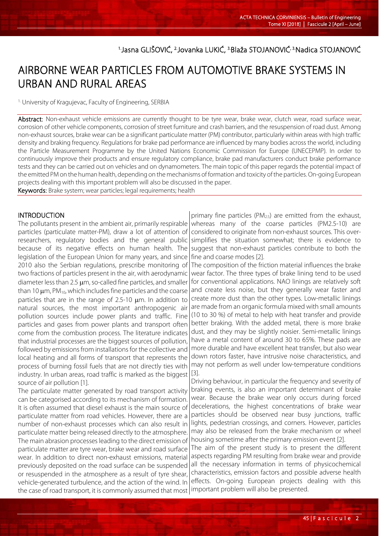<sup>1.</sup>Jasna GLIŠOVIĆ, <sup>2.</sup>Jovanka LUKIĆ, <sup>3.</sup>Blaža STOJANOVIĆ<sup>, 3.</sup>Nadica STOJANOVIĆ

# AIRBORNE WEAR PARTICLES FROM AUTOMOTIVE BRAKE SYSTEMS IN URBAN AND RURAL AREAS

<sup>1.</sup> University of Kragujevac, Faculty of Engineering, SERBIA

Abstract: Non-exhaust vehicle emissions are currently thought to be tyre wear, brake wear, clutch wear, road surface wear, corrosion of other vehicle components, corrosion of street furniture and crash barriers, and the resuspension of road dust. Among non-exhaust sources, brake wear can be a significant particulate matter (PM) contributor, particularly within areas with high traffic density and braking frequency. Regulations for brake pad performance are influenced by many bodies across the world, including the Particle Measurement Programme by the United Nations Economic Commission for Europe (UNECEPMP). In order to continuously improve their products and ensure regulatory compliance, brake pad manufacturers conduct brake performance tests and they can be carried out on vehicles and on dynamometers. The main topic of this paper regards the potential impact of the emitted PM on the human health, depending on the mechanisms of formation and toxicity of the particles. On-going European projects dealing with this important problem will also be discussed in the paper.

Keywords: Brake system; wear particles; legal requirements; health

## INTRODUCTION

l

The pollutants present in the ambient air, primarily respirable particles (particulate matter-PM), draw a lot of attention of researchers, regulatory bodies and the general public because of its negative effects on human health. The legislation of the European Union for many years, and since 2010 also the Serbian regulations, prescribe monitoring of two fractions of particles present in the air, with aerodynamic diameter less than 2.5  $\mu$ m, so-called fine particles, and smaller than 10  $\mu$ m, PM<sub>10</sub>, which includes fine particles and the coarse particles that are in the range of 2.5-10  $\mu$ m. In addition to natural sources, the most important anthropogenic air pollution sources include power plants and traffic. Fine particles and gases from power plants and transport often come from the combustion process. The literature indicates that industrial processes are the biggest sources of pollution, followed by emissions from installations for the collective and local heating and all forms of transport that represents the process of burning fossil fuels that are not directly ties with industry. In urban areas, road traffic is marked as the biggest source of air pollution [1].

The particulate matter generated by road transport activity can be categorised according to its mechanism of formation. It is often assumed that diesel exhaust is the main source of particulate matter from road vehicles. However, there are a number of non-exhaust processes which can also result in particulate matter being released directly to the atmosphere. The main abrasion processes leading to the direct emission of particulate matter are tyre wear, brake wear and road surface wear. In addition to direct non-exhaust emissions, material previously deposited on the road surface can be suspended or resuspended in the atmosphere as a result of tyre shear, vehicle-generated turbulence, and the action of the wind. In the case of road transport, it is commonly assumed that most

primary fine particles (PM<sub>2.5</sub>) are emitted from the exhaust, whereas many of the coarse particles (PM2.5-10) are considered to originate from non-exhaust sources. This oversimplifies the situation somewhat; there is evidence to suggest that non-exhaust particles contribute to both the fine and coarse modes [2].

The composition of the friction material influences the brake wear factor. The three types of brake lining tend to be used for conventional applications. NAO linings are relatively soft and create less noise, but they generally wear faster and create more dust than the other types. Low-metallic linings are made from an organic formula mixed with small amounts (10 to 30 %) of metal to help with heat transfer and provide better braking. With the added metal, there is more brake dust, and they may be slightly noisier. Semi-metallic linings have a metal content of around 30 to 65%. These pads are more durable and have excellent heat transfer, but also wear down rotors faster, have intrusive noise characteristics, and may not perform as well under low-temperature conditions [3].

Driving behaviour, in particular the frequency and severity of braking events, is also an important determinant of brake wear. Because the brake wear only occurs during forced decelerations, the highest concentrations of brake wear particles should be observed near busy junctions, traffic lights, pedestrian crossings, and corners. However, particles may also be released from the brake mechanism or wheel housing sometime after the primary emission event [2].

The aim of the present study is to present the different aspects regarding PM resulting from brake wear and provide all the necessary information in terms of physicochemical characteristics, emission factors and possible adverse health effects. On-going European projects dealing with this important problem will also be presented.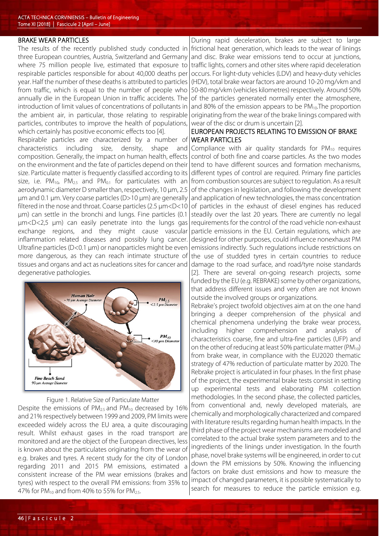## BRAKE WEAR PARTICLES

The results of the recently published study conducted in three European countries, Austria, Switzerland and Germany where 75 million people live, estimated that exposure to respirable particles responsible for about 40,000 deaths per year. Half the number of these deaths is attributed to particles from traffic, which is equal to the number of people who annually die in the European Union in traffic accidents. The introduction of limit values of concentrations of pollutants in the ambient air, in particular, those relating to respirable particles, contributes to improve the health of populations, which certainly has positive economic effects too [4].

Respirable particles are characterized by a number of characteristics including size, density, shape and composition. Generally, the impact on human health, effects on the environment and the fate of particles depend on their size. Particulate matter is frequently classified according to its size, i.e.  $PM_{10}$ ,  $PM_{2.5}$  and  $PM_{0.1}$  for particulates with an aerodynamic diameter D smaller than, respectively, 10 μm, 2.5 μm and 0.1 μm. Very coarse particles (D>10 μm) are generally filtered in the nose and throat. Coarse particles (2.5 μm<D<10 μm) can settle in the bronchi and lungs. Fine particles (0.1 μm<D<2,5 μm) can easily penetrate into the lungs gas exchange regions, and they might cause vascular inflammation related diseases and possibly lung cancer. Ultrafine particles (D<0.1 μm) or nanoparticles might be even more dangerous, as they can reach intimate structure of tissues and organs and act as nucleations sites for cancer and degenerative pathologies.



Figure 1. Relative Size of Particulate Matter

Despite the emissions of  $PM_{25}$  and  $PM_{10}$  decreased by 16% and 21% respectively between 1999 and 2009, PM limits were exceeded widely across the EU area, a quite discouraging result. Whilst exhaust gases in the road transport are monitored and are the object of the European directives, less is known about the particulates originating from the wear of e.g. brakes and tyres. A recent study for the city of London regarding 2011 and 2015 PM emissions, estimated a consistent increase of the PM wear emissions (brakes and tyres) with respect to the overall PM emissions: from 35% to 47% for  $PM_{10}$  and from 40% to 55% for  $PM_{2.5}$ .

During rapid deceleration, brakes are subject to large frictional heat generation, which leads to the wear of linings and disc. Brake wear emissions tend to occur at junctions, traffic lights, corners and other sites where rapid deceleration occurs. For light-duty vehicles (LDV) and heavy-duty vehicles (HDV), total brake wear factors are around 10-20 mg/vkm and 50-80 mg/vkm (vehicles kilometres) respectively. Around 50% of the particles generated normally enter the atmosphere, and 80% of the emission appears to be  $PM_{10}$ . The proportion originating from the wear of the brake linings compared with wear of the disc or drum is uncertain [2].

## EUROPEAN PROJECTS RELATING TO EMISSION OF BRAKE WEAR PARTICLES

Compliance with air quality standards for  $PM_{10}$  requires control of both fine and coarse particles. As the two modes tend to have different sources and formation mechanisms, different types of control are required. Primary fine particles from combustion sources are subject to regulation. As a result of the changes in legislation, and following the development and application of new technologies, the mass concentration of particles in the exhaust of diesel engines has reduced steadily over the last 20 years. There are currently no legal requirements for the control of the road vehicle non-exhaust particle emissions in the EU. Certain regulations, which are designed for other purposes, could influence nonexhaust PM emissions indirectly. Such regulations include restrictions on the use of studded tyres in certain countries to reduce damage to the road surface, and road/tyre noise standards [2]. There are several on-going research projects, some funded by the EU (e.g. REBRAKE) some by other organizations, that address different issues and very often are not known outside the involved groups or organizations.

Rebrake's project twofold objectives aim at on the one hand bringing a deeper comprehension of the physical and chemical phenomena underlying the brake wear process, including higher comprehension and analysis of characteristics coarse, fine and ultra-fine particles (UFP) and on the other of reducing at least 50% particulate matter ( $PM_{10}$ ) from brake wear, in compliance with the EU2020 thematic strategy of 47% reduction of particulate matter by 2020. The Rebrake project is articulated in four phases. In the first phase of the project, the experimental brake tests consist in setting up experimental tests and elaborating PM collection methodologies. In the second phase, the collected particles, from conventional and, newly developed materials, are chemically and morphologically characterized and compared with literature results regarding human health impacts. In the third phase of the project wear mechanisms are modeled and correlated to the actual brake system parameters and to the ingredients of the linings under investigation. In the fourth phase, novel brake systems will be engineered, in order to cut down the PM emissions by 50%. Knowing the influencing factors on brake dust emissions and how to measure the impact of changed parameters, it is possible systematically to search for measures to reduce the particle emission e.g.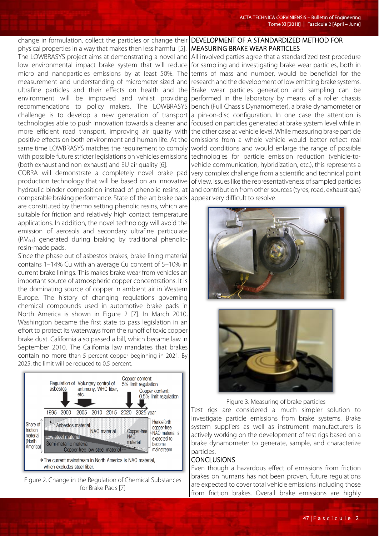change in formulation, collect the particles or change their physical properties in a way that makes then less harmful [5]. The LOWBRASYS project aims at demonstrating a novel and low environmental impact brake system that will reduce micro and nanoparticles emissions by at least 50%. The measurement and understanding of micrometer-sized and ultrafine particles and their effects on health and the environment will be improved and whilst providing recommendations to policy makers. The LOWBRASYS challenge is to develop a new generation of transport technologies able to push innovation towards a cleaner and more efficient road transport, improving air quality with positive effects on both environment and human life. At the same time LOWBRASYS matches the requirement to comply with possible future stricter legislations on vehicles emissions (both exhaust and non-exhaust) and EU air quality [6].

COBRA will demonstrate a completely novel brake pad production technology that will be based on an innovative hydraulic binder composition instead of phenolic resins, at comparable braking performance. State-of-the-art brake pads are constituted by thermo setting phenolic resins, which are suitable for friction and relatively high contact temperature applications. In addition, the novel technology will avoid the emission of aerosols and secondary ultrafine particulate  $(PM<sub>0.1</sub>)$  generated during braking by traditional phenolicresin-made pads.

Since the phase out of asbestos brakes, brake lining material contains 1–14% Cu with an average Cu content of 5–10% in current brake linings. This makes brake wear from vehicles an important source of atmospheric copper concentrations. It is the dominating source of copper in ambient air in Western Europe. The history of changing regulations governing chemical compounds used in automotive brake pads in North America is shown in Figure 2 [7]. In March 2010, Washington became the first state to pass legislation in an effort to protect its waterways from the runoff of toxic copper brake dust. California also passed a bill, which became law in September 2010. The California law mandates that brakes contain no more than 5 percent copper beginning in 2021. By 2025, the limit will be reduced to 0.5 percent.



Figure 2. Change in the Regulation of Chemical Substances for Brake Pads [7]

## DEVELOPMENT OF A STANDARDIZED METHOD FOR MEASURING BRAKE WEAR PARTICLES

All involved parties agree that a standardized test procedure for sampling and investigating brake wear particles, both in terms of mass and number, would be beneficial for the research and the development of low emitting brake systems. Brake wear particles generation and sampling can be performed in the laboratory by means of a roller chassis bench (Full Chassis Dynamometer), a brake dynamometer or a pin-on-disc configuration. In one case the attention is focused on particles generated at brake system level while in the other case at vehicle level. While measuring brake particle emissions from a whole vehicle would better reflect real world conditions and would enlarge the range of possible technologies for particle emission reduction (vehicle-tovehicle communication, hybridization, etc.), this represents a very complex challenge from a scientific and technical point of view. Issues like the representativeness of sampled particles and contribution from other sources (tyres, road, exhaust gas) appear very difficult to resolve.





Figure 3. Measuring of brake particles

Test rigs are considered a much simpler solution to investigate particle emissions from brake systems. Brake system suppliers as well as instrument manufacturers is actively working on the development of test rigs based on a brake dynamometer to generate, sample, and characterize particles.

## **CONCLUSIONS**

Even though a hazardous effect of emissions from friction brakes on humans has not been proven, future regulations are expected to cover total vehicle emissions including those from friction brakes. Overall brake emissions are highly